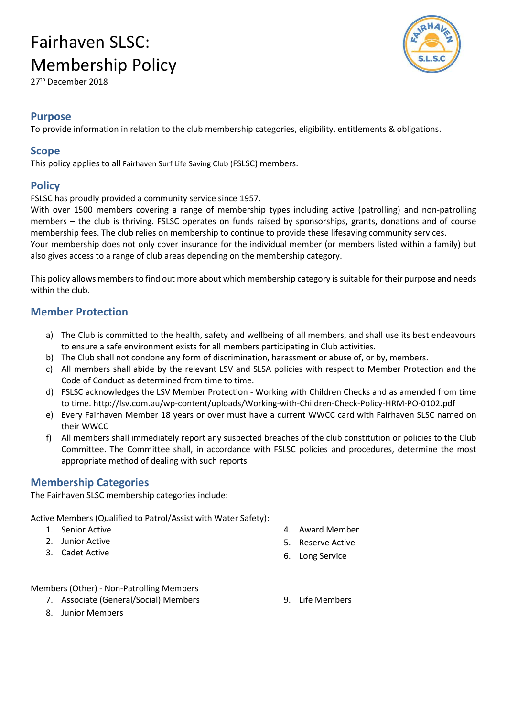27th December 2018

#### Purpose

To provide information in relation to the club membership categories, eligibility, entitlements & obligations.

#### Scope

This policy applies to all Fairhaven Surf Life Saving Club (FSLSC) members.

### **Policy**

FSLSC has proudly provided a community service since 1957.

With over 1500 members covering a range of membership types including active (patrolling) and non-patrolling members – the club is thriving. FSLSC operates on funds raised by sponsorships, grants, donations and of course membership fees. The club relies on membership to continue to provide these lifesaving community services.

Your membership does not only cover insurance for the individual member (or members listed within a family) but also gives access to a range of club areas depending on the membership category.

This policy allows members to find out more about which membership category is suitable for their purpose and needs within the club.

### Member Protection

- a) The Club is committed to the health, safety and wellbeing of all members, and shall use its best endeavours to ensure a safe environment exists for all members participating in Club activities.
- b) The Club shall not condone any form of discrimination, harassment or abuse of, or by, members.
- c) All members shall abide by the relevant LSV and SLSA policies with respect to Member Protection and the Code of Conduct as determined from time to time.
- d) FSLSC acknowledges the LSV Member Protection Working with Children Checks and as amended from time to time. http://lsv.com.au/wp-content/uploads/Working-with-Children-Check-Policy-HRM-PO-0102.pdf
- e) Every Fairhaven Member 18 years or over must have a current WWCC card with Fairhaven SLSC named on their WWCC
- f) All members shall immediately report any suspected breaches of the club constitution or policies to the Club Committee. The Committee shall, in accordance with FSLSC policies and procedures, determine the most appropriate method of dealing with such reports

### Membership Categories

The Fairhaven SLSC membership categories include:

Active Members (Qualified to Patrol/Assist with Water Safety):

- 1. Senior Active
- 2. Junior Active
- 3. Cadet Active
- 4. Award Member
- 5. Reserve Active
- 6. Long Service

Members (Other) - Non-Patrolling Members

- 7. Associate (General/Social) Members
- 8. Junior Members

9. Life Members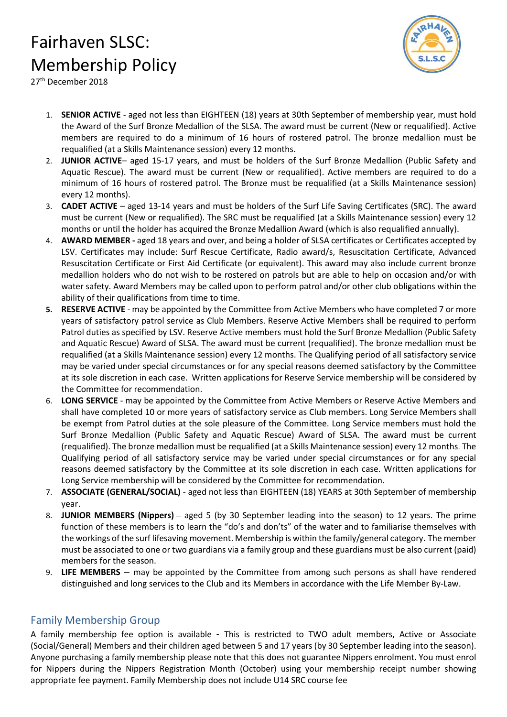

27th December 2018

- 1. SENIOR ACTIVE aged not less than EIGHTEEN (18) years at 30th September of membership year, must hold the Award of the Surf Bronze Medallion of the SLSA. The award must be current (New or requalified). Active members are required to do a minimum of 16 hours of rostered patrol. The bronze medallion must be requalified (at a Skills Maintenance session) every 12 months.
- 2. JUNIOR ACTIVE- aged 15-17 years, and must be holders of the Surf Bronze Medallion (Public Safety and Aquatic Rescue). The award must be current (New or requalified). Active members are required to do a minimum of 16 hours of rostered patrol. The Bronze must be requalified (at a Skills Maintenance session) every 12 months).
- 3. CADET ACTIVE aged 13-14 years and must be holders of the Surf Life Saving Certificates (SRC). The award must be current (New or requalified). The SRC must be requalified (at a Skills Maintenance session) every 12 months or until the holder has acquired the Bronze Medallion Award (which is also requalified annually).
- 4. AWARD MEMBER aged 18 years and over, and being a holder of SLSA certificates or Certificates accepted by LSV. Certificates may include: Surf Rescue Certificate, Radio award/s, Resuscitation Certificate, Advanced Resuscitation Certificate or First Aid Certificate (or equivalent). This award may also include current bronze medallion holders who do not wish to be rostered on patrols but are able to help on occasion and/or with water safety. Award Members may be called upon to perform patrol and/or other club obligations within the ability of their qualifications from time to time.
- 5. RESERVE ACTIVE may be appointed by the Committee from Active Members who have completed 7 or more years of satisfactory patrol service as Club Members. Reserve Active Members shall be required to perform Patrol duties as specified by LSV. Reserve Active members must hold the Surf Bronze Medallion (Public Safety and Aquatic Rescue) Award of SLSA. The award must be current (requalified). The bronze medallion must be requalified (at a Skills Maintenance session) every 12 months. The Qualifying period of all satisfactory service may be varied under special circumstances or for any special reasons deemed satisfactory by the Committee at its sole discretion in each case. Written applications for Reserve Service membership will be considered by the Committee for recommendation.
- 6. LONG SERVICE may be appointed by the Committee from Active Members or Reserve Active Members and shall have completed 10 or more years of satisfactory service as Club members. Long Service Members shall be exempt from Patrol duties at the sole pleasure of the Committee. Long Service members must hold the Surf Bronze Medallion (Public Safety and Aquatic Rescue) Award of SLSA. The award must be current (requalified). The bronze medallion must be requalified (at a Skills Maintenance session) every 12 months. The Qualifying period of all satisfactory service may be varied under special circumstances or for any special reasons deemed satisfactory by the Committee at its sole discretion in each case. Written applications for Long Service membership will be considered by the Committee for recommendation.
- 7. ASSOCIATE (GENERAL/SOCIAL) aged not less than EIGHTEEN (18) YEARS at 30th September of membership year.
- 8. JUNIOR MEMBERS (Nippers) aged 5 (by 30 September leading into the season) to 12 years. The prime function of these members is to learn the "do's and don'ts" of the water and to familiarise themselves with the workings of the surf lifesaving movement. Membership is within the family/general category. The member must be associated to one or two guardians via a family group and these guardians must be also current (paid) members for the season.
- 9. LIFE MEMBERS may be appointed by the Committee from among such persons as shall have rendered distinguished and long services to the Club and its Members in accordance with the Life Member By-Law.

#### Family Membership Group

A family membership fee option is available - This is restricted to TWO adult members, Active or Associate (Social/General) Members and their children aged between 5 and 17 years (by 30 September leading into the season). Anyone purchasing a family membership please note that this does not guarantee Nippers enrolment. You must enrol for Nippers during the Nippers Registration Month (October) using your membership receipt number showing appropriate fee payment. Family Membership does not include U14 SRC course fee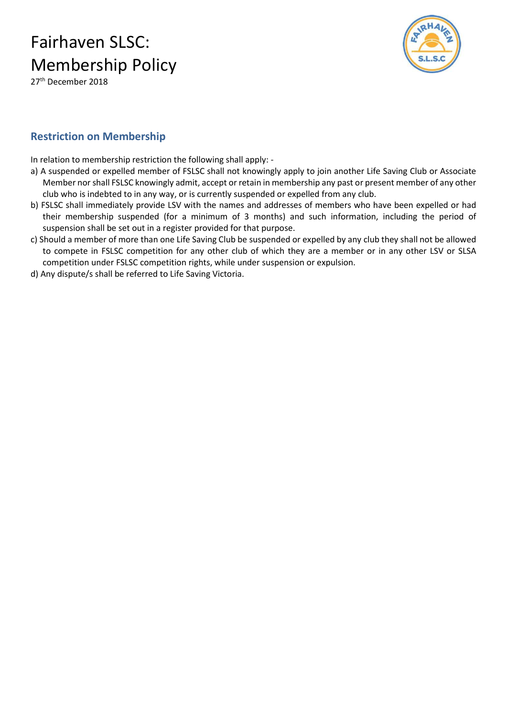27<sup>th</sup> December 2018



### Restriction on Membership

In relation to membership restriction the following shall apply: -

- a) A suspended or expelled member of FSLSC shall not knowingly apply to join another Life Saving Club or Associate Member nor shall FSLSC knowingly admit, accept or retain in membership any past or present member of any other club who is indebted to in any way, or is currently suspended or expelled from any club.
- b) FSLSC shall immediately provide LSV with the names and addresses of members who have been expelled or had their membership suspended (for a minimum of 3 months) and such information, including the period of suspension shall be set out in a register provided for that purpose.
- c) Should a member of more than one Life Saving Club be suspended or expelled by any club they shall not be allowed to compete in FSLSC competition for any other club of which they are a member or in any other LSV or SLSA competition under FSLSC competition rights, while under suspension or expulsion.
- d) Any dispute/s shall be referred to Life Saving Victoria.